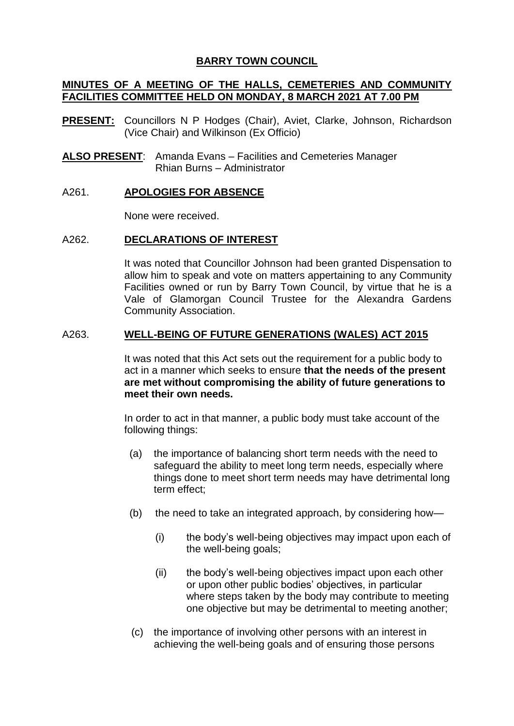# **BARRY TOWN COUNCIL**

# **MINUTES OF A MEETING OF THE HALLS, CEMETERIES AND COMMUNITY FACILITIES COMMITTEE HELD ON MONDAY, 8 MARCH 2021 AT 7.00 PM**

- **PRESENT:** Councillors N P Hodges (Chair), Aviet, Clarke, Johnson, Richardson (Vice Chair) and Wilkinson (Ex Officio)
- **ALSO PRESENT**: Amanda Evans Facilities and Cemeteries Manager Rhian Burns – Administrator

## A261. **APOLOGIES FOR ABSENCE**

None were received.

## A262. **DECLARATIONS OF INTEREST**

It was noted that Councillor Johnson had been granted Dispensation to allow him to speak and vote on matters appertaining to any Community Facilities owned or run by Barry Town Council, by virtue that he is a Vale of Glamorgan Council Trustee for the Alexandra Gardens Community Association.

## A263. **WELL-BEING OF FUTURE GENERATIONS (WALES) ACT 2015**

It was noted that this Act sets out the requirement for a public body to act in a manner which seeks to ensure **that the needs of the present are met without compromising the ability of future generations to meet their own needs.**

In order to act in that manner, a public body must take account of the following things:

- (a) the importance of balancing short term needs with the need to safeguard the ability to meet long term needs, especially where things done to meet short term needs may have detrimental long term effect;
- (b) the need to take an integrated approach, by considering how—
	- (i) the body's well-being objectives may impact upon each of the well-being goals;
	- (ii) the body's well-being objectives impact upon each other or upon other public bodies' objectives, in particular where steps taken by the body may contribute to meeting one objective but may be detrimental to meeting another;
- (c) the importance of involving other persons with an interest in achieving the well-being goals and of ensuring those persons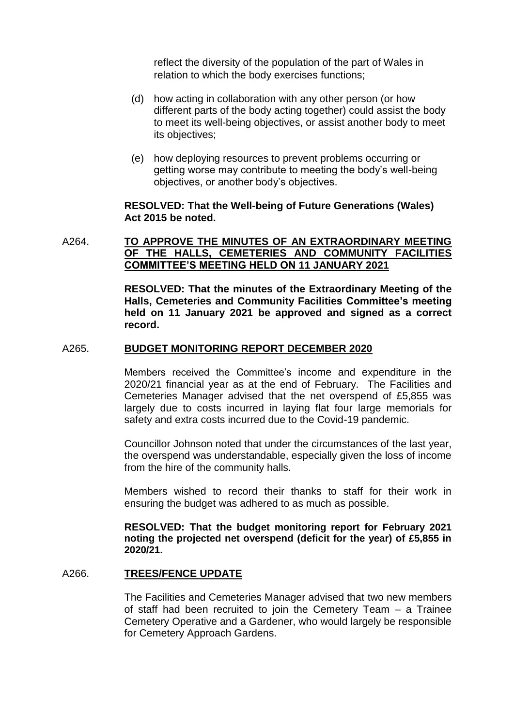reflect the diversity of the population of the part of Wales in relation to which the body exercises functions;

- (d) how acting in collaboration with any other person (or how different parts of the body acting together) could assist the body to meet its well-being objectives, or assist another body to meet its objectives;
- (e) how deploying resources to prevent problems occurring or getting worse may contribute to meeting the body's well-being objectives, or another body's objectives.

### **RESOLVED: That the Well-being of Future Generations (Wales) Act 2015 be noted.**

## A264. **TO APPROVE THE MINUTES OF AN EXTRAORDINARY MEETING OF THE HALLS, CEMETERIES AND COMMUNITY FACILITIES COMMITTEE'S MEETING HELD ON 11 JANUARY 2021**

**RESOLVED: That the minutes of the Extraordinary Meeting of the Halls, Cemeteries and Community Facilities Committee's meeting held on 11 January 2021 be approved and signed as a correct record.**

### A265. **BUDGET MONITORING REPORT DECEMBER 2020**

Members received the Committee's income and expenditure in the 2020/21 financial year as at the end of February. The Facilities and Cemeteries Manager advised that the net overspend of £5,855 was largely due to costs incurred in laying flat four large memorials for safety and extra costs incurred due to the Covid-19 pandemic.

Councillor Johnson noted that under the circumstances of the last year, the overspend was understandable, especially given the loss of income from the hire of the community halls.

Members wished to record their thanks to staff for their work in ensuring the budget was adhered to as much as possible.

**RESOLVED: That the budget monitoring report for February 2021 noting the projected net overspend (deficit for the year) of £5,855 in 2020/21.**

### A266. **TREES/FENCE UPDATE**

The Facilities and Cemeteries Manager advised that two new members of staff had been recruited to join the Cemetery Team – a Trainee Cemetery Operative and a Gardener, who would largely be responsible for Cemetery Approach Gardens.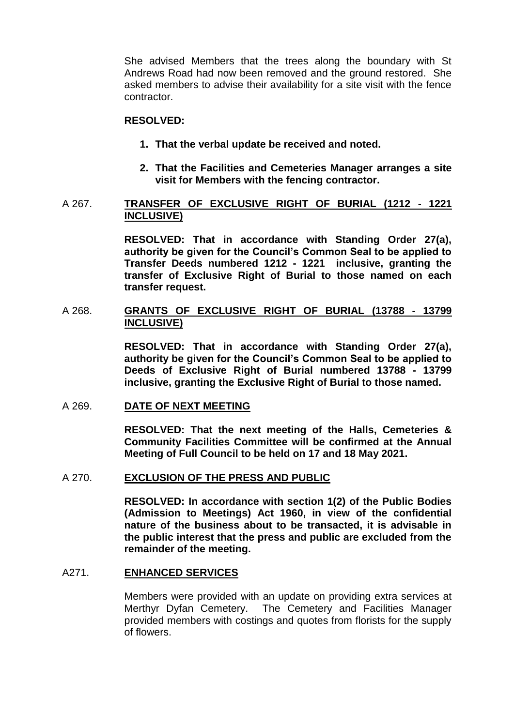She advised Members that the trees along the boundary with St Andrews Road had now been removed and the ground restored. She asked members to advise their availability for a site visit with the fence contractor.

## **RESOLVED:**

- **1. That the verbal update be received and noted.**
- **2. That the Facilities and Cemeteries Manager arranges a site visit for Members with the fencing contractor.**

### A 267. **TRANSFER OF EXCLUSIVE RIGHT OF BURIAL (1212 - 1221 INCLUSIVE)**

**RESOLVED: That in accordance with Standing Order 27(a), authority be given for the Council's Common Seal to be applied to Transfer Deeds numbered 1212 - 1221 inclusive, granting the transfer of Exclusive Right of Burial to those named on each transfer request.** 

## A 268. **GRANTS OF EXCLUSIVE RIGHT OF BURIAL (13788 - 13799 INCLUSIVE)**

**RESOLVED: That in accordance with Standing Order 27(a), authority be given for the Council's Common Seal to be applied to Deeds of Exclusive Right of Burial numbered 13788 - 13799 inclusive, granting the Exclusive Right of Burial to those named.** 

### A 269. **DATE OF NEXT MEETING**

**RESOLVED: That the next meeting of the Halls, Cemeteries & Community Facilities Committee will be confirmed at the Annual Meeting of Full Council to be held on 17 and 18 May 2021.**

### A 270. **EXCLUSION OF THE PRESS AND PUBLIC**

**RESOLVED: In accordance with section 1(2) of the Public Bodies (Admission to Meetings) Act 1960, in view of the confidential nature of the business about to be transacted, it is advisable in the public interest that the press and public are excluded from the remainder of the meeting.**

### A271. **ENHANCED SERVICES**

Members were provided with an update on providing extra services at Merthyr Dyfan Cemetery. The Cemetery and Facilities Manager provided members with costings and quotes from florists for the supply of flowers.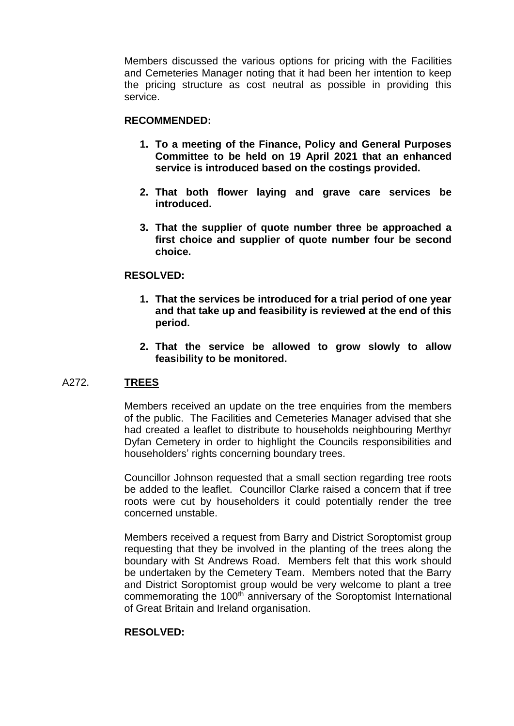Members discussed the various options for pricing with the Facilities and Cemeteries Manager noting that it had been her intention to keep the pricing structure as cost neutral as possible in providing this service.

### **RECOMMENDED:**

- **1. To a meeting of the Finance, Policy and General Purposes Committee to be held on 19 April 2021 that an enhanced service is introduced based on the costings provided.**
- **2. That both flower laying and grave care services be introduced.**
- **3. That the supplier of quote number three be approached a first choice and supplier of quote number four be second choice.**

### **RESOLVED:**

- **1. That the services be introduced for a trial period of one year and that take up and feasibility is reviewed at the end of this period.**
- **2. That the service be allowed to grow slowly to allow feasibility to be monitored.**

### A272. **TREES**

Members received an update on the tree enquiries from the members of the public. The Facilities and Cemeteries Manager advised that she had created a leaflet to distribute to households neighbouring Merthyr Dyfan Cemetery in order to highlight the Councils responsibilities and householders' rights concerning boundary trees.

Councillor Johnson requested that a small section regarding tree roots be added to the leaflet. Councillor Clarke raised a concern that if tree roots were cut by householders it could potentially render the tree concerned unstable.

Members received a request from Barry and District Soroptomist group requesting that they be involved in the planting of the trees along the boundary with St Andrews Road. Members felt that this work should be undertaken by the Cemetery Team. Members noted that the Barry and District Soroptomist group would be very welcome to plant a tree commemorating the 100<sup>th</sup> anniversary of the Soroptomist International of Great Britain and Ireland organisation.

### **RESOLVED:**